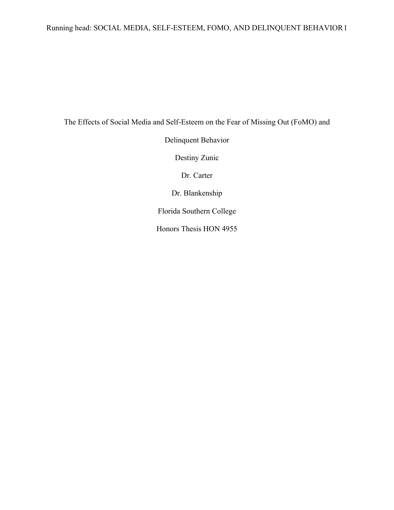# Running head: SOCIAL MEDIA, SELF-ESTEEM, FOMO, AND DELINQUENT BEHAVIOR1

The Effects of Social Media and Self-Esteem on the Fear of Missing Out (FoMO) and

Delinquent Behavior

Destiny Zunic

Dr. Carter

Dr. Blankenship

Florida Southern College

Honors Thesis HON 4955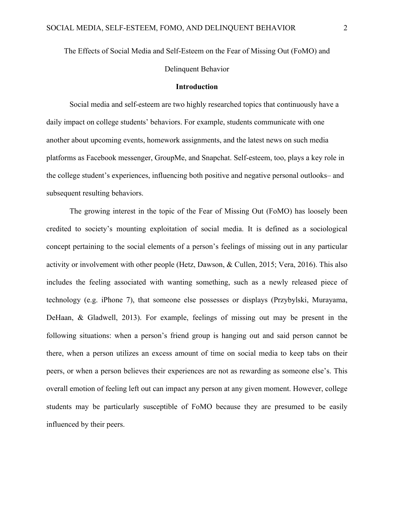# The Effects of Social Media and Self-Esteem on the Fear of Missing Out (FoMO) and

Delinquent Behavior

#### **Introduction**

Social media and self-esteem are two highly researched topics that continuously have a daily impact on college students' behaviors. For example, students communicate with one another about upcoming events, homework assignments, and the latest news on such media platforms as Facebook messenger, GroupMe, and Snapchat. Self-esteem, too, plays a key role in the college student's experiences, influencing both positive and negative personal outlooks– and subsequent resulting behaviors.

The growing interest in the topic of the Fear of Missing Out (FoMO) has loosely been credited to society's mounting exploitation of social media. It is defined as a sociological concept pertaining to the social elements of a person's feelings of missing out in any particular activity or involvement with other people (Hetz, Dawson, & Cullen, 2015; Vera, 2016). This also includes the feeling associated with wanting something, such as a newly released piece of technology (e.g. iPhone 7), that someone else possesses or displays (Przybylski, Murayama, DeHaan, & Gladwell, 2013). For example, feelings of missing out may be present in the following situations: when a person's friend group is hanging out and said person cannot be there, when a person utilizes an excess amount of time on social media to keep tabs on their peers, or when a person believes their experiences are not as rewarding as someone else's. This overall emotion of feeling left out can impact any person at any given moment. However, college students may be particularly susceptible of FoMO because they are presumed to be easily influenced by their peers.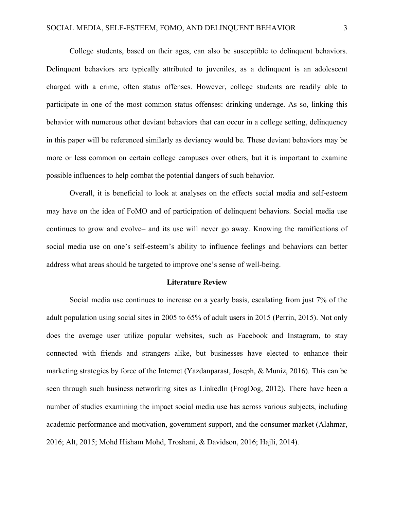College students, based on their ages, can also be susceptible to delinquent behaviors. Delinquent behaviors are typically attributed to juveniles, as a delinquent is an adolescent charged with a crime, often status offenses. However, college students are readily able to participate in one of the most common status offenses: drinking underage. As so, linking this behavior with numerous other deviant behaviors that can occur in a college setting, delinquency in this paper will be referenced similarly as deviancy would be. These deviant behaviors may be more or less common on certain college campuses over others, but it is important to examine possible influences to help combat the potential dangers of such behavior.

Overall, it is beneficial to look at analyses on the effects social media and self-esteem may have on the idea of FoMO and of participation of delinquent behaviors. Social media use continues to grow and evolve– and its use will never go away. Knowing the ramifications of social media use on one's self-esteem's ability to influence feelings and behaviors can better address what areas should be targeted to improve one's sense of well-being.

#### **Literature Review**

Social media use continues to increase on a yearly basis, escalating from just 7% of the adult population using social sites in 2005 to 65% of adult users in 2015 (Perrin, 2015). Not only does the average user utilize popular websites, such as Facebook and Instagram, to stay connected with friends and strangers alike, but businesses have elected to enhance their marketing strategies by force of the Internet (Yazdanparast, Joseph, & Muniz, 2016). This can be seen through such business networking sites as LinkedIn (FrogDog, 2012). There have been a number of studies examining the impact social media use has across various subjects, including academic performance and motivation, government support, and the consumer market (Alahmar, 2016; Alt, 2015; Mohd Hisham Mohd, Troshani, & Davidson, 2016; Hajli, 2014).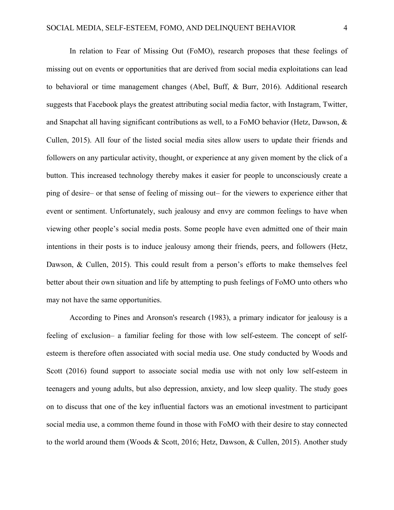In relation to Fear of Missing Out (FoMO), research proposes that these feelings of missing out on events or opportunities that are derived from social media exploitations can lead to behavioral or time management changes (Abel, Buff, & Burr, 2016). Additional research suggests that Facebook plays the greatest attributing social media factor, with Instagram, Twitter, and Snapchat all having significant contributions as well, to a FoMO behavior (Hetz, Dawson, & Cullen, 2015). All four of the listed social media sites allow users to update their friends and followers on any particular activity, thought, or experience at any given moment by the click of a button. This increased technology thereby makes it easier for people to unconsciously create a ping of desire– or that sense of feeling of missing out– for the viewers to experience either that event or sentiment. Unfortunately, such jealousy and envy are common feelings to have when viewing other people's social media posts. Some people have even admitted one of their main intentions in their posts is to induce jealousy among their friends, peers, and followers (Hetz, Dawson, & Cullen, 2015). This could result from a person's efforts to make themselves feel better about their own situation and life by attempting to push feelings of FoMO unto others who may not have the same opportunities.

According to Pines and Aronson's research (1983), a primary indicator for jealousy is a feeling of exclusion– a familiar feeling for those with low self-esteem. The concept of selfesteem is therefore often associated with social media use. One study conducted by Woods and Scott (2016) found support to associate social media use with not only low self-esteem in teenagers and young adults, but also depression, anxiety, and low sleep quality. The study goes on to discuss that one of the key influential factors was an emotional investment to participant social media use, a common theme found in those with FoMO with their desire to stay connected to the world around them (Woods & Scott, 2016; Hetz, Dawson, & Cullen, 2015). Another study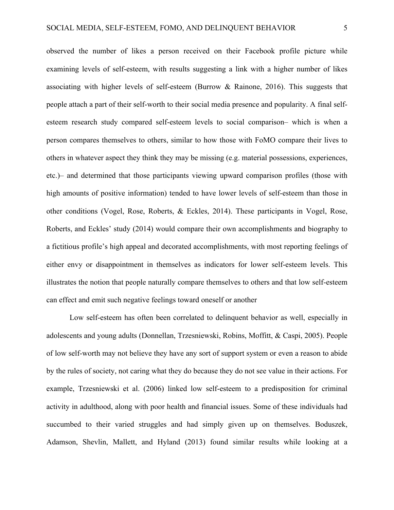observed the number of likes a person received on their Facebook profile picture while examining levels of self-esteem, with results suggesting a link with a higher number of likes associating with higher levels of self-esteem (Burrow  $\&$  Rainone, 2016). This suggests that people attach a part of their self-worth to their social media presence and popularity. A final selfesteem research study compared self-esteem levels to social comparison– which is when a person compares themselves to others, similar to how those with FoMO compare their lives to others in whatever aspect they think they may be missing (e.g. material possessions, experiences, etc.)– and determined that those participants viewing upward comparison profiles (those with high amounts of positive information) tended to have lower levels of self-esteem than those in other conditions (Vogel, Rose, Roberts, & Eckles, 2014). These participants in Vogel, Rose, Roberts, and Eckles' study (2014) would compare their own accomplishments and biography to a fictitious profile's high appeal and decorated accomplishments, with most reporting feelings of either envy or disappointment in themselves as indicators for lower self-esteem levels. This illustrates the notion that people naturally compare themselves to others and that low self-esteem can effect and emit such negative feelings toward oneself or another

Low self-esteem has often been correlated to delinquent behavior as well, especially in adolescents and young adults (Donnellan, Trzesniewski, Robins, Moffitt, & Caspi, 2005). People of low self-worth may not believe they have any sort of support system or even a reason to abide by the rules of society, not caring what they do because they do not see value in their actions. For example, Trzesniewski et al. (2006) linked low self-esteem to a predisposition for criminal activity in adulthood, along with poor health and financial issues. Some of these individuals had succumbed to their varied struggles and had simply given up on themselves. Boduszek, Adamson, Shevlin, Mallett, and Hyland (2013) found similar results while looking at a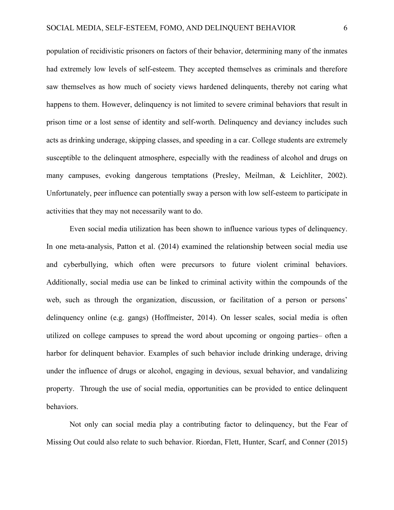population of recidivistic prisoners on factors of their behavior, determining many of the inmates had extremely low levels of self-esteem. They accepted themselves as criminals and therefore saw themselves as how much of society views hardened delinquents, thereby not caring what happens to them. However, delinquency is not limited to severe criminal behaviors that result in prison time or a lost sense of identity and self-worth. Delinquency and deviancy includes such acts as drinking underage, skipping classes, and speeding in a car. College students are extremely susceptible to the delinquent atmosphere, especially with the readiness of alcohol and drugs on many campuses, evoking dangerous temptations (Presley, Meilman, & Leichliter, 2002). Unfortunately, peer influence can potentially sway a person with low self-esteem to participate in activities that they may not necessarily want to do.

Even social media utilization has been shown to influence various types of delinquency. In one meta-analysis, Patton et al. (2014) examined the relationship between social media use and cyberbullying, which often were precursors to future violent criminal behaviors. Additionally, social media use can be linked to criminal activity within the compounds of the web, such as through the organization, discussion, or facilitation of a person or persons' delinquency online (e.g. gangs) (Hoffmeister, 2014). On lesser scales, social media is often utilized on college campuses to spread the word about upcoming or ongoing parties– often a harbor for delinquent behavior. Examples of such behavior include drinking underage, driving under the influence of drugs or alcohol, engaging in devious, sexual behavior, and vandalizing property. Through the use of social media, opportunities can be provided to entice delinquent behaviors.

Not only can social media play a contributing factor to delinquency, but the Fear of Missing Out could also relate to such behavior. Riordan, Flett, Hunter, Scarf, and Conner (2015)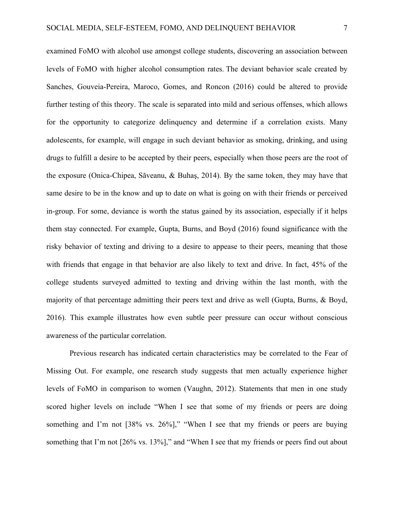examined FoMO with alcohol use amongst college students, discovering an association between levels of FoMO with higher alcohol consumption rates. The deviant behavior scale created by Sanches, Gouveia-Pereira, Maroco, Gomes, and Roncon (2016) could be altered to provide further testing of this theory. The scale is separated into mild and serious offenses, which allows for the opportunity to categorize delinquency and determine if a correlation exists. Many adolescents, for example, will engage in such deviant behavior as smoking, drinking, and using drugs to fulfill a desire to be accepted by their peers, especially when those peers are the root of the exposure (Onica-Chipea, Săveanu, & Buhaş, 2014). By the same token, they may have that same desire to be in the know and up to date on what is going on with their friends or perceived in-group. For some, deviance is worth the status gained by its association, especially if it helps them stay connected. For example, Gupta, Burns, and Boyd (2016) found significance with the risky behavior of texting and driving to a desire to appease to their peers, meaning that those with friends that engage in that behavior are also likely to text and drive. In fact, 45% of the college students surveyed admitted to texting and driving within the last month, with the majority of that percentage admitting their peers text and drive as well (Gupta, Burns, & Boyd, 2016). This example illustrates how even subtle peer pressure can occur without conscious awareness of the particular correlation.

Previous research has indicated certain characteristics may be correlated to the Fear of Missing Out. For example, one research study suggests that men actually experience higher levels of FoMO in comparison to women (Vaughn, 2012). Statements that men in one study scored higher levels on include "When I see that some of my friends or peers are doing something and I'm not [38% vs. 26%]," "When I see that my friends or peers are buying something that I'm not [26% vs. 13%]," and "When I see that my friends or peers find out about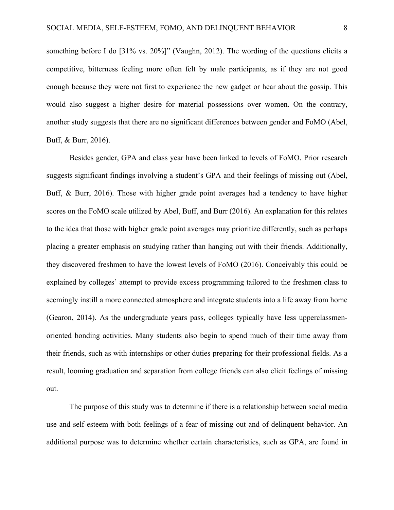something before I do [31% vs. 20%]" (Vaughn, 2012). The wording of the questions elicits a competitive, bitterness feeling more often felt by male participants, as if they are not good enough because they were not first to experience the new gadget or hear about the gossip. This would also suggest a higher desire for material possessions over women. On the contrary, another study suggests that there are no significant differences between gender and FoMO (Abel, Buff, & Burr, 2016).

Besides gender, GPA and class year have been linked to levels of FoMO. Prior research suggests significant findings involving a student's GPA and their feelings of missing out (Abel, Buff, & Burr, 2016). Those with higher grade point averages had a tendency to have higher scores on the FoMO scale utilized by Abel, Buff, and Burr (2016). An explanation for this relates to the idea that those with higher grade point averages may prioritize differently, such as perhaps placing a greater emphasis on studying rather than hanging out with their friends. Additionally, they discovered freshmen to have the lowest levels of FoMO (2016). Conceivably this could be explained by colleges' attempt to provide excess programming tailored to the freshmen class to seemingly instill a more connected atmosphere and integrate students into a life away from home (Gearon, 2014). As the undergraduate years pass, colleges typically have less upperclassmenoriented bonding activities. Many students also begin to spend much of their time away from their friends, such as with internships or other duties preparing for their professional fields. As a result, looming graduation and separation from college friends can also elicit feelings of missing out.

The purpose of this study was to determine if there is a relationship between social media use and self-esteem with both feelings of a fear of missing out and of delinquent behavior. An additional purpose was to determine whether certain characteristics, such as GPA, are found in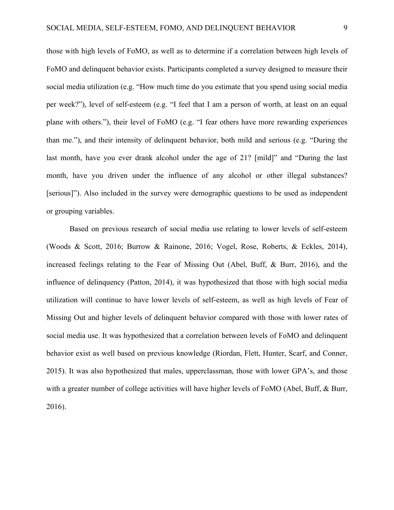those with high levels of FoMO, as well as to determine if a correlation between high levels of FoMO and delinquent behavior exists. Participants completed a survey designed to measure their social media utilization (e.g. "How much time do you estimate that you spend using social media per week?"), level of self-esteem (e.g. "I feel that I am a person of worth, at least on an equal plane with others."), their level of FoMO (e.g. "I fear others have more rewarding experiences than me."), and their intensity of delinquent behavior, both mild and serious (e.g. "During the last month, have you ever drank alcohol under the age of 21? [mild]" and "During the last month, have you driven under the influence of any alcohol or other illegal substances? [serious]"). Also included in the survey were demographic questions to be used as independent or grouping variables.

Based on previous research of social media use relating to lower levels of self-esteem (Woods & Scott, 2016; Burrow & Rainone, 2016; Vogel, Rose, Roberts, & Eckles, 2014), increased feelings relating to the Fear of Missing Out (Abel, Buff, & Burr, 2016), and the influence of delinquency (Patton, 2014), it was hypothesized that those with high social media utilization will continue to have lower levels of self-esteem, as well as high levels of Fear of Missing Out and higher levels of delinquent behavior compared with those with lower rates of social media use. It was hypothesized that a correlation between levels of FoMO and delinquent behavior exist as well based on previous knowledge (Riordan, Flett, Hunter, Scarf, and Conner, 2015). It was also hypothesized that males, upperclassman, those with lower GPA's, and those with a greater number of college activities will have higher levels of FoMO (Abel, Buff, & Burr, 2016).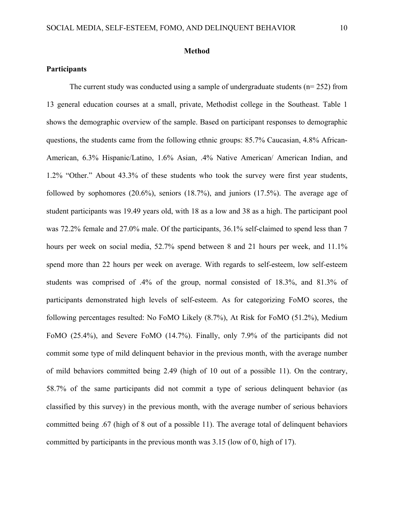#### **Method**

#### **Participants**

The current study was conducted using a sample of undergraduate students ( $n= 252$ ) from 13 general education courses at a small, private, Methodist college in the Southeast. Table 1 shows the demographic overview of the sample. Based on participant responses to demographic questions, the students came from the following ethnic groups: 85.7% Caucasian, 4.8% African-American, 6.3% Hispanic/Latino, 1.6% Asian, .4% Native American/ American Indian, and 1.2% "Other." About 43.3% of these students who took the survey were first year students, followed by sophomores (20.6%), seniors (18.7%), and juniors (17.5%). The average age of student participants was 19.49 years old, with 18 as a low and 38 as a high. The participant pool was 72.2% female and 27.0% male. Of the participants, 36.1% self-claimed to spend less than 7 hours per week on social media, 52.7% spend between 8 and 21 hours per week, and 11.1% spend more than 22 hours per week on average. With regards to self-esteem, low self-esteem students was comprised of .4% of the group, normal consisted of 18.3%, and 81.3% of participants demonstrated high levels of self-esteem. As for categorizing FoMO scores, the following percentages resulted: No FoMO Likely (8.7%), At Risk for FoMO (51.2%), Medium FoMO (25.4%), and Severe FoMO (14.7%). Finally, only 7.9% of the participants did not commit some type of mild delinquent behavior in the previous month, with the average number of mild behaviors committed being 2.49 (high of 10 out of a possible 11). On the contrary, 58.7% of the same participants did not commit a type of serious delinquent behavior (as classified by this survey) in the previous month, with the average number of serious behaviors committed being .67 (high of 8 out of a possible 11). The average total of delinquent behaviors committed by participants in the previous month was 3.15 (low of 0, high of 17).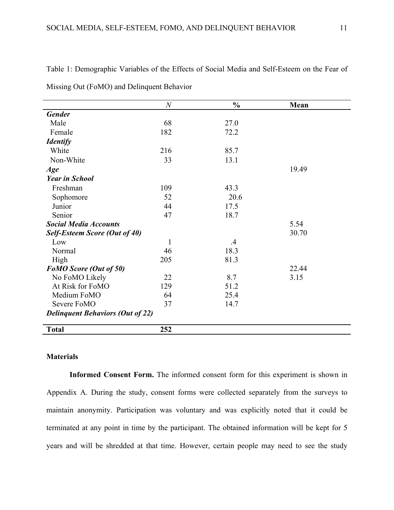|                                         | $\boldsymbol{N}$ | $\frac{0}{0}$ | Mean  |  |
|-----------------------------------------|------------------|---------------|-------|--|
| <b>Gender</b>                           |                  |               |       |  |
| Male                                    | 68               | 27.0          |       |  |
| Female                                  | 182              | 72.2          |       |  |
| <b>Identify</b>                         |                  |               |       |  |
| White                                   | 216              | 85.7          |       |  |
| Non-White                               | 33               | 13.1          |       |  |
| Age                                     |                  |               | 19.49 |  |
| <b>Year in School</b>                   |                  |               |       |  |
| Freshman                                | 109              | 43.3          |       |  |
| Sophomore                               | 52               | 20.6          |       |  |
| Junior                                  | 44               | 17.5          |       |  |
| Senior                                  | 47               | 18.7          |       |  |
| <b>Social Media Accounts</b>            |                  |               | 5.54  |  |
| <b>Self-Esteem Score (Out of 40)</b>    |                  |               | 30.70 |  |
| Low                                     | $\mathbf{1}$     | $.4\,$        |       |  |
| Normal                                  | 46               | 18.3          |       |  |
| High                                    | 205              | 81.3          |       |  |
| <b>FoMO</b> Score (Out of 50)           |                  |               | 22.44 |  |
| No FoMO Likely                          | 22               | 8.7           | 3.15  |  |
| At Risk for FoMO                        | 129              | 51.2          |       |  |
| Medium FoMO                             | 64               | 25.4          |       |  |
| Severe FoMO                             | 37               | 14.7          |       |  |
| <b>Delinquent Behaviors (Out of 22)</b> |                  |               |       |  |
| <b>Total</b>                            | 252              |               |       |  |

Table 1: Demographic Variables of the Effects of Social Media and Self-Esteem on the Fear of

Missing Out (FoMO) and Delinquent Behavior

#### **Materials**

**Informed Consent Form.** The informed consent form for this experiment is shown in Appendix A. During the study, consent forms were collected separately from the surveys to maintain anonymity. Participation was voluntary and was explicitly noted that it could be terminated at any point in time by the participant. The obtained information will be kept for 5 years and will be shredded at that time. However, certain people may need to see the study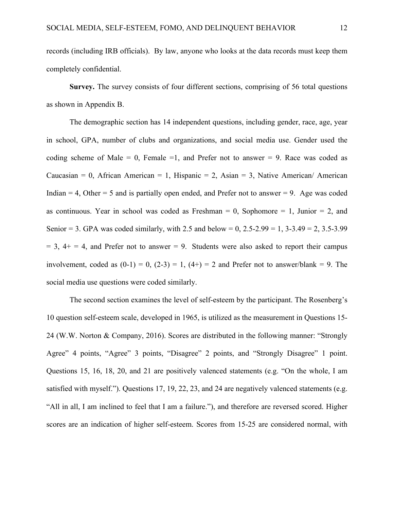records (including IRB officials). By law, anyone who looks at the data records must keep them completely confidential.

Survey. The survey consists of four different sections, comprising of 56 total questions as shown in Appendix B.

The demographic section has 14 independent questions, including gender, race, age, year in school, GPA, number of clubs and organizations, and social media use. Gender used the coding scheme of Male  $= 0$ , Female  $= 1$ , and Prefer not to answer  $= 9$ . Race was coded as Caucasian = 0, African American = 1, Hispanic = 2, Asian = 3, Native American/ American Indian  $= 4$ , Other  $= 5$  and is partially open ended, and Prefer not to answer  $= 9$ . Age was coded as continuous. Year in school was coded as Freshman  $= 0$ , Sophomore  $= 1$ , Junior  $= 2$ , and Senior = 3. GPA was coded similarly, with 2.5 and below =  $0, 2.5-2.99 = 1, 3-3.49 = 2, 3.5-3.99$  $= 3$ ,  $4+ = 4$ , and Prefer not to answer  $= 9$ . Students were also asked to report their campus involvement, coded as  $(0-1) = 0$ ,  $(2-3) = 1$ ,  $(4+) = 2$  and Prefer not to answer/blank = 9. The social media use questions were coded similarly.

The second section examines the level of self-esteem by the participant. The Rosenberg's 10 question self-esteem scale, developed in 1965, is utilized as the measurement in Questions 15- 24 (W.W. Norton & Company, 2016). Scores are distributed in the following manner: "Strongly Agree" 4 points, "Agree" 3 points, "Disagree" 2 points, and "Strongly Disagree" 1 point. Questions 15, 16, 18, 20, and 21 are positively valenced statements (e.g. "On the whole, I am satisfied with myself."). Questions 17, 19, 22, 23, and 24 are negatively valenced statements (e.g. "All in all, I am inclined to feel that I am a failure."), and therefore are reversed scored. Higher scores are an indication of higher self-esteem. Scores from 15-25 are considered normal, with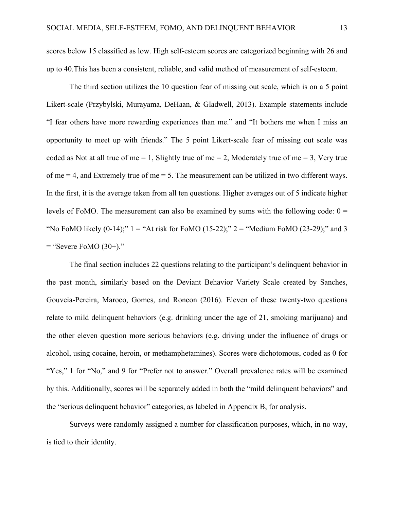scores below 15 classified as low. High self-esteem scores are categorized beginning with 26 and up to 40.This has been a consistent, reliable, and valid method of measurement of self-esteem.

The third section utilizes the 10 question fear of missing out scale, which is on a 5 point Likert-scale (Przybylski, Murayama, DeHaan, & Gladwell, 2013). Example statements include "I fear others have more rewarding experiences than me." and "It bothers me when I miss an opportunity to meet up with friends." The 5 point Likert-scale fear of missing out scale was coded as Not at all true of me  $= 1$ , Slightly true of me  $= 2$ , Moderately true of me  $= 3$ , Very true of me  $=$  4, and Extremely true of me  $=$  5. The measurement can be utilized in two different ways. In the first, it is the average taken from all ten questions. Higher averages out of 5 indicate higher levels of FoMO. The measurement can also be examined by sums with the following code:  $0 =$ "No FoMO likely  $(0-14)$ ;" 1 = "At risk for FoMO  $(15-22)$ ;" 2 = "Medium FoMO  $(23-29)$ ;" and 3  $=$  "Severe FoMO  $(30+)$ ."

The final section includes 22 questions relating to the participant's delinquent behavior in the past month, similarly based on the Deviant Behavior Variety Scale created by Sanches, Gouveia-Pereira, Maroco, Gomes, and Roncon (2016). Eleven of these twenty-two questions relate to mild delinquent behaviors (e.g. drinking under the age of 21, smoking marijuana) and the other eleven question more serious behaviors (e.g. driving under the influence of drugs or alcohol, using cocaine, heroin, or methamphetamines). Scores were dichotomous, coded as 0 for "Yes," 1 for "No," and 9 for "Prefer not to answer." Overall prevalence rates will be examined by this. Additionally, scores will be separately added in both the "mild delinquent behaviors" and the "serious delinquent behavior" categories, as labeled in Appendix B, for analysis.

Surveys were randomly assigned a number for classification purposes, which, in no way, is tied to their identity.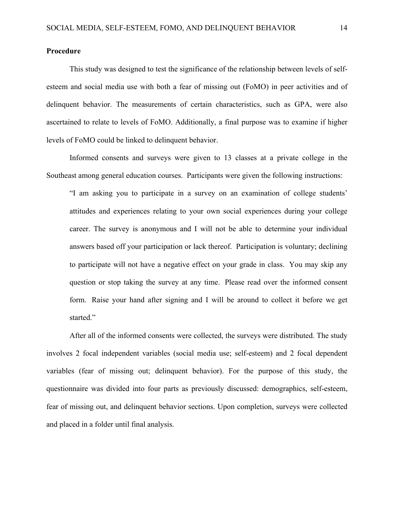#### **Procedure**

This study was designed to test the significance of the relationship between levels of selfesteem and social media use with both a fear of missing out (FoMO) in peer activities and of delinquent behavior. The measurements of certain characteristics, such as GPA, were also ascertained to relate to levels of FoMO. Additionally, a final purpose was to examine if higher levels of FoMO could be linked to delinquent behavior.

Informed consents and surveys were given to 13 classes at a private college in the Southeast among general education courses. Participants were given the following instructions:

"I am asking you to participate in a survey on an examination of college students' attitudes and experiences relating to your own social experiences during your college career. The survey is anonymous and I will not be able to determine your individual answers based off your participation or lack thereof. Participation is voluntary; declining to participate will not have a negative effect on your grade in class. You may skip any question or stop taking the survey at any time. Please read over the informed consent form. Raise your hand after signing and I will be around to collect it before we get started."

After all of the informed consents were collected, the surveys were distributed. The study involves 2 focal independent variables (social media use; self-esteem) and 2 focal dependent variables (fear of missing out; delinquent behavior). For the purpose of this study, the questionnaire was divided into four parts as previously discussed: demographics, self-esteem, fear of missing out, and delinquent behavior sections. Upon completion, surveys were collected and placed in a folder until final analysis.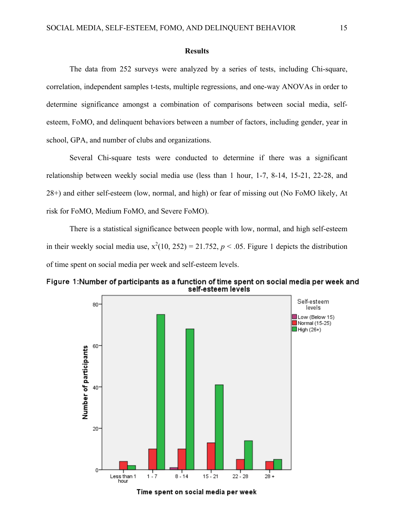#### **Results**

The data from 252 surveys were analyzed by a series of tests, including Chi-square, correlation, independent samples t-tests, multiple regressions, and one-way ANOVAs in order to determine significance amongst a combination of comparisons between social media, selfesteem, FoMO, and delinquent behaviors between a number of factors, including gender, year in school, GPA, and number of clubs and organizations.

Several Chi-square tests were conducted to determine if there was a significant relationship between weekly social media use (less than 1 hour, 1-7, 8-14, 15-21, 22-28, and 28+) and either self-esteem (low, normal, and high) or fear of missing out (No FoMO likely, At risk for FoMO, Medium FoMO, and Severe FoMO).

There is a statistical significance between people with low, normal, and high self-esteem in their weekly social media use,  $x^2(10, 252) = 21.752$ ,  $p < .05$ . Figure 1 depicts the distribution of time spent on social media per week and self-esteem levels.



Figure 1: Number of participants as a function of time spent on social media per week and self-esteem levels

Time spent on social media per week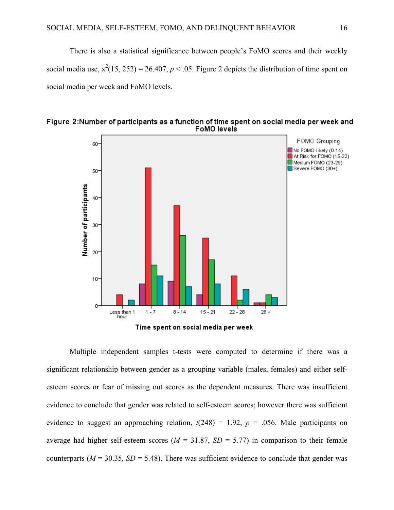There is also a statistical significance between people's FoMO scores and their weekly social media use,  $x^2(15, 252) = 26.407$ ,  $p < .05$ . Figure 2 depicts the distribution of time spent on social media per week and FoMO levels.



Figure 2: Number of participants as a function of time spent on social media per week and FoMO levels

Time spent on social media per week

Multiple independent samples t-tests were computed to determine if there was a significant relationship between gender as a grouping variable (males, females) and either selfesteem scores or fear of missing out scores as the dependent measures. There was insufficient evidence to conclude that gender was related to self-esteem scores; however there was sufficient evidence to suggest an approaching relation,  $t(248) = 1.92$ ,  $p = .056$ . Male participants on average had higher self-esteem scores ( $M = 31.87$ ,  $SD = 5.77$ ) in comparison to their female counterparts ( $M = 30.35$ ,  $SD = 5.48$ ). There was sufficient evidence to conclude that gender was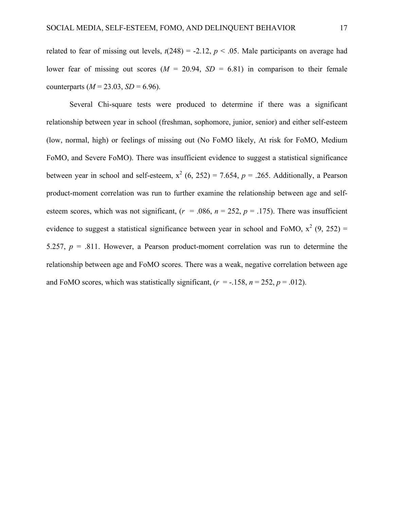related to fear of missing out levels,  $t(248) = -2.12$ ,  $p < .05$ . Male participants on average had lower fear of missing out scores  $(M = 20.94, SD = 6.81)$  in comparison to their female counterparts  $(M = 23.03, SD = 6.96)$ .

Several Chi-square tests were produced to determine if there was a significant relationship between year in school (freshman, sophomore, junior, senior) and either self-esteem (low, normal, high) or feelings of missing out (No FoMO likely, At risk for FoMO, Medium FoMO, and Severe FoMO). There was insufficient evidence to suggest a statistical significance between year in school and self-esteem,  $x^2$  (6, 252) = 7.654,  $p = .265$ . Additionally, a Pearson product-moment correlation was run to further examine the relationship between age and selfesteem scores, which was not significant,  $(r = .086, n = 252, p = .175)$ . There was insufficient evidence to suggest a statistical significance between year in school and FoMO,  $x^2$  (9, 252) = 5.257, *p* = .811. However, a Pearson product-moment correlation was run to determine the relationship between age and FoMO scores. There was a weak, negative correlation between age and FoMO scores, which was statistically significant,  $(r = -158, n = 252, p = .012)$ .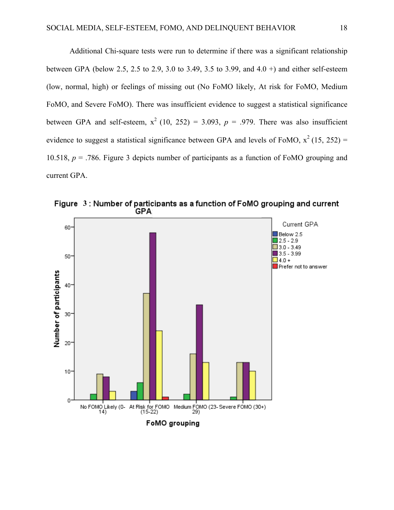Additional Chi-square tests were run to determine if there was a significant relationship between GPA (below 2.5, 2.5 to 2.9, 3.0 to 3.49, 3.5 to 3.99, and 4.0 +) and either self-esteem (low, normal, high) or feelings of missing out (No FoMO likely, At risk for FoMO, Medium FoMO, and Severe FoMO). There was insufficient evidence to suggest a statistical significance between GPA and self-esteem,  $x^2$  (10, 252) = 3.093,  $p = .979$ . There was also insufficient evidence to suggest a statistical significance between GPA and levels of FoMO,  $x^2$  (15, 252) = 10.518, *p* = .786. Figure 3 depicts number of participants as a function of FoMO grouping and current GPA.



Figure 3: Number of participants as a function of FoMO grouping and current **GPA**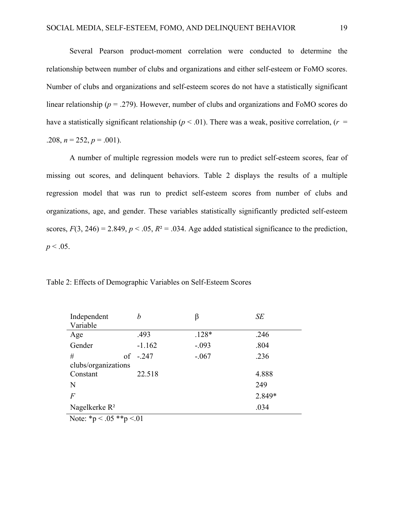Several Pearson product-moment correlation were conducted to determine the relationship between number of clubs and organizations and either self-esteem or FoMO scores. Number of clubs and organizations and self-esteem scores do not have a statistically significant linear relationship (*p* = .279). However, number of clubs and organizations and FoMO scores do have a statistically significant relationship ( $p < .01$ ). There was a weak, positive correlation, ( $r =$ .208,  $n = 252$ ,  $p = .001$ ).

A number of multiple regression models were run to predict self-esteem scores, fear of missing out scores, and delinquent behaviors. Table 2 displays the results of a multiple regression model that was run to predict self-esteem scores from number of clubs and organizations, age, and gender. These variables statistically significantly predicted self-esteem scores,  $F(3, 246) = 2.849$ ,  $p < .05$ ,  $R^2 = .034$ . Age added statistical significance to the prediction,  $p < .05$ .

Table 2: Effects of Demographic Variables on Self-Esteem Scores

| Independent<br>Variable  | b          | β       | SE     |  |  |
|--------------------------|------------|---------|--------|--|--|
| Age                      | .493       | $.128*$ | .246   |  |  |
| Gender                   | $-1.162$   | $-.093$ | .804   |  |  |
| #                        | of $-.247$ | $-.067$ | .236   |  |  |
| clubs/organizations      |            |         |        |  |  |
| Constant                 | 22.518     |         | 4.888  |  |  |
| N                        |            |         | 249    |  |  |
| $\overline{F}$           |            |         | 2.849* |  |  |
| Nagelkerke $R^2$<br>.034 |            |         |        |  |  |

Note:  $*_p < .05 **_p < .01$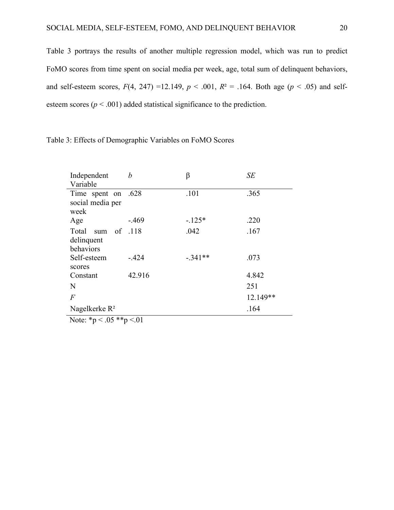Table 3 portrays the results of another multiple regression model, which was run to predict FoMO scores from time spent on social media per week, age, total sum of delinquent behaviors, and self-esteem scores,  $F(4, 247) = 12.149$ ,  $p < .001$ ,  $R<sup>2</sup> = .164$ . Both age ( $p < .05$ ) and selfesteem scores ( $p < .001$ ) added statistical significance to the prediction.

| Independent        | b      | β         | SE       |
|--------------------|--------|-----------|----------|
| Variable           |        |           |          |
| Time spent on .628 |        | .101      | .365     |
| social media per   |        |           |          |
| week               |        |           |          |
| Age                | $-469$ | $-125*$   | .220     |
| Total sum of 118   |        | .042      | .167     |
| delinquent         |        |           |          |
| behaviors          |        |           |          |
| Self-esteem        | $-424$ | $-.341**$ | .073     |
| scores             |        |           |          |
| Constant           | 42.916 |           | 4.842    |
| N                  |        |           | 251      |
| $\overline{F}$     |        |           | 12.149** |
| Nagelkerke $R^2$   |        |           | .164     |

Table 3: Effects of Demographic Variables on FoMO Scores

Note:  $*_{p} < .05 **_{p} < .01$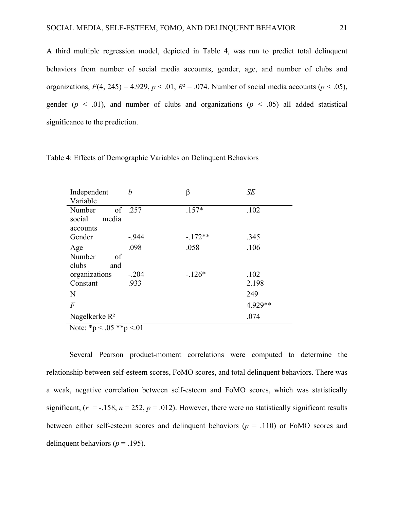A third multiple regression model, depicted in Table 4, was run to predict total delinquent behaviors from number of social media accounts, gender, age, and number of clubs and organizations,  $F(4, 245) = 4.929$ ,  $p < .01$ ,  $R<sup>2</sup> = .074$ . Number of social media accounts ( $p < .05$ ), gender ( $p \leq 0.01$ ), and number of clubs and organizations ( $p \leq 0.05$ ) all added statistical significance to the prediction.

| Independent               | h       | β        | <b>SE</b> |
|---------------------------|---------|----------|-----------|
| Variable                  |         |          |           |
| Number                    | of .257 | $.157*$  | .102      |
| media<br>social           |         |          |           |
| accounts                  |         |          |           |
| Gender                    | $-944$  | $-172**$ | .345      |
| Age                       | .098    | .058     | .106      |
| Number<br>of              |         |          |           |
| clubs<br>and              |         |          |           |
| organizations             | $-.204$ | $-126*$  | .102      |
| Constant                  | .933    |          | 2.198     |
| N                         |         |          | 249       |
| $\overline{F}$            |         |          | 4.929**   |
| Nagelkerke R <sup>2</sup> |         |          | .074      |

Table 4: Effects of Demographic Variables on Delinquent Behaviors

Note:  $*_{p} < .05 **_{p} < .01$ 

Several Pearson product-moment correlations were computed to determine the relationship between self-esteem scores, FoMO scores, and total delinquent behaviors. There was a weak, negative correlation between self-esteem and FoMO scores, which was statistically significant,  $(r = -158, n = 252, p = .012)$ . However, there were no statistically significant results between either self-esteem scores and delinquent behaviors ( $p = .110$ ) or FoMO scores and delinquent behaviors ( $p = .195$ ).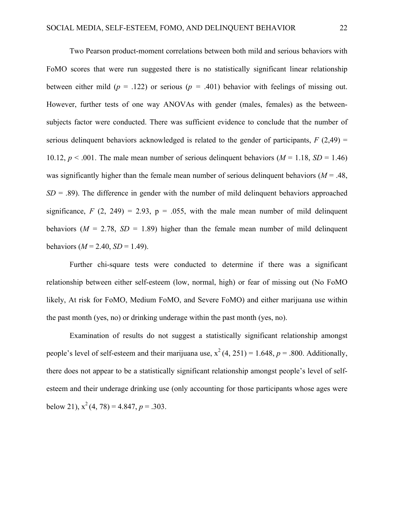Two Pearson product-moment correlations between both mild and serious behaviors with FoMO scores that were run suggested there is no statistically significant linear relationship between either mild ( $p = 0.122$ ) or serious ( $p = 0.401$ ) behavior with feelings of missing out. However, further tests of one way ANOVAs with gender (males, females) as the betweensubjects factor were conducted. There was sufficient evidence to conclude that the number of serious delinquent behaviors acknowledged is related to the gender of participants,  $F(2,49) =$ 10.12,  $p < .001$ . The male mean number of serious delinguent behaviors ( $M = 1.18$ ,  $SD = 1.46$ ) was significantly higher than the female mean number of serious delinquent behaviors ( $M = .48$ ,  $SD = .89$ ). The difference in gender with the number of mild delinquent behaviors approached significance,  $F(2, 249) = 2.93$ ,  $p = .055$ , with the male mean number of mild delinquent behaviors ( $M = 2.78$ ,  $SD = 1.89$ ) higher than the female mean number of mild delinquent behaviors ( $M = 2.40$ ,  $SD = 1.49$ ).

Further chi-square tests were conducted to determine if there was a significant relationship between either self-esteem (low, normal, high) or fear of missing out (No FoMO likely, At risk for FoMO, Medium FoMO, and Severe FoMO) and either marijuana use within the past month (yes, no) or drinking underage within the past month (yes, no).

Examination of results do not suggest a statistically significant relationship amongst people's level of self-esteem and their marijuana use,  $x^2(4, 251) = 1.648$ ,  $p = .800$ . Additionally, there does not appear to be a statistically significant relationship amongst people's level of selfesteem and their underage drinking use (only accounting for those participants whose ages were below 21),  $x^2$  (4, 78) = 4.847,  $p = 0.303$ .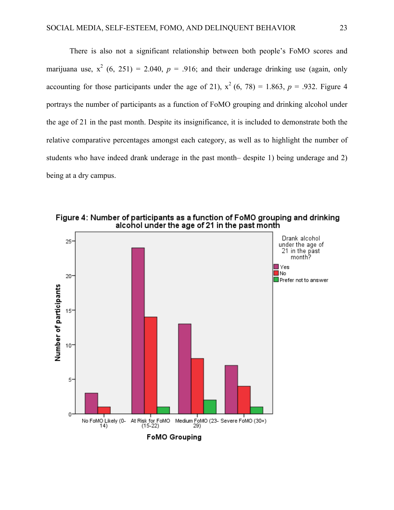There is also not a significant relationship between both people's FoMO scores and marijuana use,  $x^2$  (6, 251) = 2.040,  $p = .916$ ; and their underage drinking use (again, only accounting for those participants under the age of 21),  $x^2$  (6, 78) = 1.863,  $p = .932$ . Figure 4 portrays the number of participants as a function of FoMO grouping and drinking alcohol under the age of 21 in the past month. Despite its insignificance, it is included to demonstrate both the relative comparative percentages amongst each category, as well as to highlight the number of students who have indeed drank underage in the past month– despite 1) being underage and 2) being at a dry campus.



Figure 4: Number of participants as a function of FoMO grouping and drinking alcohol under the age of 21 in the past month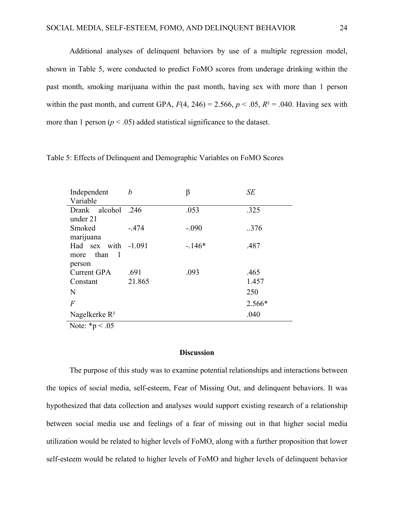Additional analyses of delinquent behaviors by use of a multiple regression model, shown in Table 5, were conducted to predict FoMO scores from underage drinking within the past month, smoking marijuana within the past month, having sex with more than 1 person within the past month, and current GPA,  $F(4, 246) = 2.566$ ,  $p < .05$ ,  $R<sup>2</sup> = .040$ . Having sex with more than 1 person  $(p < .05)$  added statistical significance to the dataset.

| Independent                                  | h       | β       | SE     |
|----------------------------------------------|---------|---------|--------|
| Variable                                     |         |         |        |
| Drank alcohol .246                           |         | .053    | .325   |
| under 21                                     |         |         |        |
| Smoked                                       | $-.474$ | $-.090$ | .376   |
| marijuana                                    |         |         |        |
| Had sex with -1.091                          |         | $-146*$ | .487   |
| more than<br>$\overline{1}$                  |         |         |        |
| person                                       |         |         |        |
| <b>Current GPA</b>                           | .691    | .093    | .465   |
| Constant                                     | 21.865  |         | 1.457  |
| N                                            |         |         | 250    |
| $\overline{F}$                               |         |         | 2.566* |
| Nagelkerke $R^2$                             |         |         | .040   |
| $N_{\text{obs}}$ $*_{\text{max}}$ $\sim 0.5$ |         |         |        |

Table 5: Effects of Delinquent and Demographic Variables on FoMO Scores

Note:  $*_{p} < .05$ 

#### **Discussion**

The purpose of this study was to examine potential relationships and interactions between the topics of social media, self-esteem, Fear of Missing Out, and delinquent behaviors. It was hypothesized that data collection and analyses would support existing research of a relationship between social media use and feelings of a fear of missing out in that higher social media utilization would be related to higher levels of FoMO, along with a further proposition that lower self-esteem would be related to higher levels of FoMO and higher levels of delinquent behavior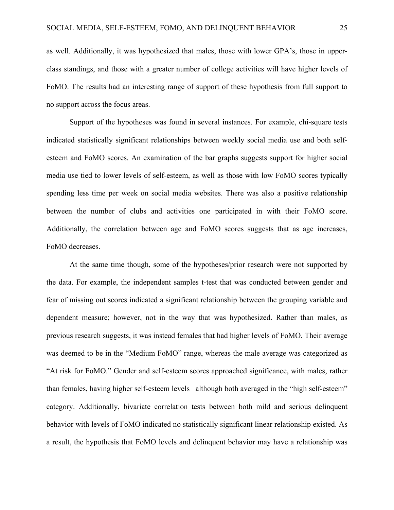as well. Additionally, it was hypothesized that males, those with lower GPA's, those in upperclass standings, and those with a greater number of college activities will have higher levels of FoMO. The results had an interesting range of support of these hypothesis from full support to no support across the focus areas.

Support of the hypotheses was found in several instances. For example, chi-square tests indicated statistically significant relationships between weekly social media use and both selfesteem and FoMO scores. An examination of the bar graphs suggests support for higher social media use tied to lower levels of self-esteem, as well as those with low FoMO scores typically spending less time per week on social media websites. There was also a positive relationship between the number of clubs and activities one participated in with their FoMO score. Additionally, the correlation between age and FoMO scores suggests that as age increases, FoMO decreases.

At the same time though, some of the hypotheses/prior research were not supported by the data. For example, the independent samples t-test that was conducted between gender and fear of missing out scores indicated a significant relationship between the grouping variable and dependent measure; however, not in the way that was hypothesized. Rather than males, as previous research suggests, it was instead females that had higher levels of FoMO. Their average was deemed to be in the "Medium FoMO" range, whereas the male average was categorized as "At risk for FoMO." Gender and self-esteem scores approached significance, with males, rather than females, having higher self-esteem levels– although both averaged in the "high self-esteem" category. Additionally, bivariate correlation tests between both mild and serious delinquent behavior with levels of FoMO indicated no statistically significant linear relationship existed. As a result, the hypothesis that FoMO levels and delinquent behavior may have a relationship was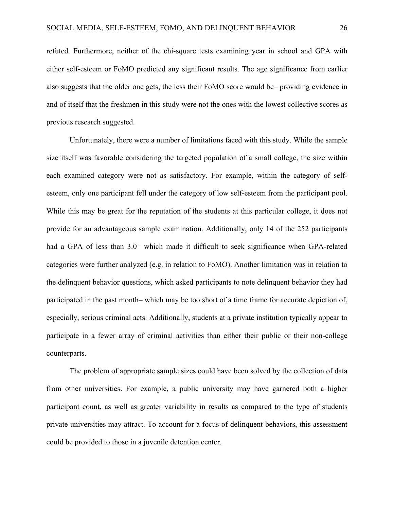refuted. Furthermore, neither of the chi-square tests examining year in school and GPA with either self-esteem or FoMO predicted any significant results. The age significance from earlier also suggests that the older one gets, the less their FoMO score would be– providing evidence in and of itself that the freshmen in this study were not the ones with the lowest collective scores as previous research suggested.

Unfortunately, there were a number of limitations faced with this study. While the sample size itself was favorable considering the targeted population of a small college, the size within each examined category were not as satisfactory. For example, within the category of selfesteem, only one participant fell under the category of low self-esteem from the participant pool. While this may be great for the reputation of the students at this particular college, it does not provide for an advantageous sample examination. Additionally, only 14 of the 252 participants had a GPA of less than 3.0– which made it difficult to seek significance when GPA-related categories were further analyzed (e.g. in relation to FoMO). Another limitation was in relation to the delinquent behavior questions, which asked participants to note delinquent behavior they had participated in the past month– which may be too short of a time frame for accurate depiction of, especially, serious criminal acts. Additionally, students at a private institution typically appear to participate in a fewer array of criminal activities than either their public or their non-college counterparts.

The problem of appropriate sample sizes could have been solved by the collection of data from other universities. For example, a public university may have garnered both a higher participant count, as well as greater variability in results as compared to the type of students private universities may attract. To account for a focus of delinquent behaviors, this assessment could be provided to those in a juvenile detention center.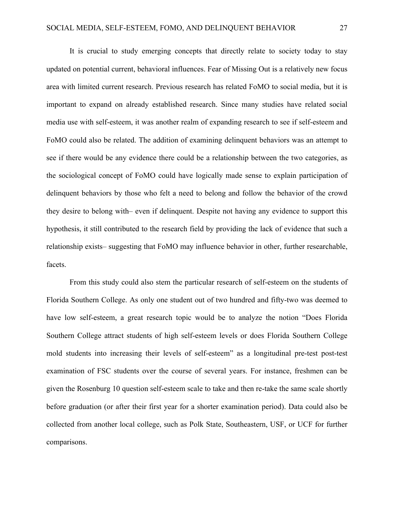It is crucial to study emerging concepts that directly relate to society today to stay updated on potential current, behavioral influences. Fear of Missing Out is a relatively new focus area with limited current research. Previous research has related FoMO to social media, but it is important to expand on already established research. Since many studies have related social media use with self-esteem, it was another realm of expanding research to see if self-esteem and FoMO could also be related. The addition of examining delinquent behaviors was an attempt to see if there would be any evidence there could be a relationship between the two categories, as the sociological concept of FoMO could have logically made sense to explain participation of delinquent behaviors by those who felt a need to belong and follow the behavior of the crowd they desire to belong with– even if delinquent. Despite not having any evidence to support this hypothesis, it still contributed to the research field by providing the lack of evidence that such a relationship exists– suggesting that FoMO may influence behavior in other, further researchable, facets.

From this study could also stem the particular research of self-esteem on the students of Florida Southern College. As only one student out of two hundred and fifty-two was deemed to have low self-esteem, a great research topic would be to analyze the notion "Does Florida Southern College attract students of high self-esteem levels or does Florida Southern College mold students into increasing their levels of self-esteem" as a longitudinal pre-test post-test examination of FSC students over the course of several years. For instance, freshmen can be given the Rosenburg 10 question self-esteem scale to take and then re-take the same scale shortly before graduation (or after their first year for a shorter examination period). Data could also be collected from another local college, such as Polk State, Southeastern, USF, or UCF for further comparisons.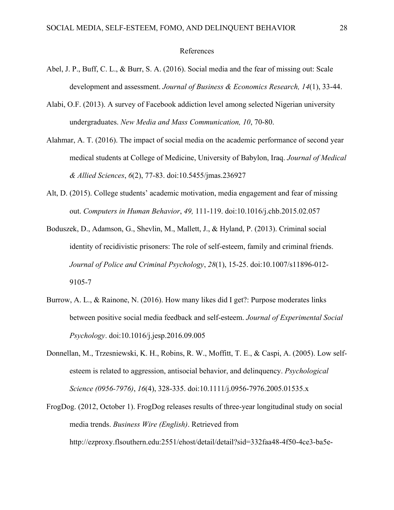#### References

- Abel, J. P., Buff, C. L., & Burr, S. A. (2016). Social media and the fear of missing out: Scale development and assessment. *Journal of Business & Economics Research, 14*(1), 33-44.
- Alabi, O.F. (2013). A survey of Facebook addiction level among selected Nigerian university undergraduates. *New Media and Mass Communication, 10*, 70-80.
- Alahmar, A. T. (2016). The impact of social media on the academic performance of second year medical students at College of Medicine, University of Babylon, Iraq. *Journal of Medical & Allied Sciences*, *6*(2), 77-83. doi:10.5455/jmas.236927
- Alt, D. (2015). College students' academic motivation, media engagement and fear of missing out. *Computers in Human Behavior*, *49,* 111-119. doi:10.1016/j.chb.2015.02.057
- Boduszek, D., Adamson, G., Shevlin, M., Mallett, J., & Hyland, P. (2013). Criminal social identity of recidivistic prisoners: The role of self-esteem, family and criminal friends. *Journal of Police and Criminal Psychology*, *28*(1), 15-25. doi:10.1007/s11896-012- 9105-7
- Burrow, A. L., & Rainone, N. (2016). How many likes did I get?: Purpose moderates links between positive social media feedback and self-esteem. *Journal of Experimental Social Psychology*. doi:10.1016/j.jesp.2016.09.005
- Donnellan, M., Trzesniewski, K. H., Robins, R. W., Moffitt, T. E., & Caspi, A. (2005). Low selfesteem is related to aggression, antisocial behavior, and delinquency. *Psychological Science (0956-7976)*, *16*(4), 328-335. doi:10.1111/j.0956-7976.2005.01535.x
- FrogDog. (2012, October 1). FrogDog releases results of three-year longitudinal study on social media trends. *Business Wire (English)*. Retrieved from http://ezproxy.flsouthern.edu:2551/ehost/detail/detail?sid=332faa48-4f50-4ce3-ba5e-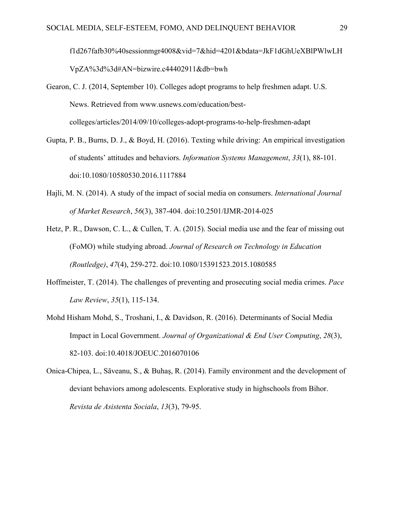f1d267fafb30%40sessionmgr4008&vid=7&hid=4201&bdata=JkF1dGhUeXBlPWlwLH VpZA%3d%3d#AN=bizwire.c44402911&db=bwh

- Gearon, C. J. (2014, September 10). Colleges adopt programs to help freshmen adapt. U.S. News. Retrieved from www.usnews.com/education/bestcolleges/articles/2014/09/10/colleges-adopt-programs-to-help-freshmen-adapt
- Gupta, P. B., Burns, D. J., & Boyd, H. (2016). Texting while driving: An empirical investigation of students' attitudes and behaviors. *Information Systems Management*, *33*(1), 88-101. doi:10.1080/10580530.2016.1117884
- Hajli, M. N. (2014). A study of the impact of social media on consumers. *International Journal of Market Research*, *56*(3), 387-404. doi:10.2501/IJMR-2014-025
- Hetz, P. R., Dawson, C. L., & Cullen, T. A. (2015). Social media use and the fear of missing out (FoMO) while studying abroad. *Journal of Research on Technology in Education (Routledge)*, *47*(4), 259-272. doi:10.1080/15391523.2015.1080585
- Hoffmeister, T. (2014). The challenges of preventing and prosecuting social media crimes. *Pace Law Review*, *35*(1), 115-134.
- Mohd Hisham Mohd, S., Troshani, I., & Davidson, R. (2016). Determinants of Social Media Impact in Local Government. *Journal of Organizational & End User Computing*, *28*(3), 82-103. doi:10.4018/JOEUC.2016070106
- Onica-Chipea, L., Săveanu, S., & Buhaş, R. (2014). Family environment and the development of deviant behaviors among adolescents. Explorative study in highschools from Bihor. *Revista de Asistenta Sociala*, *13*(3), 79-95.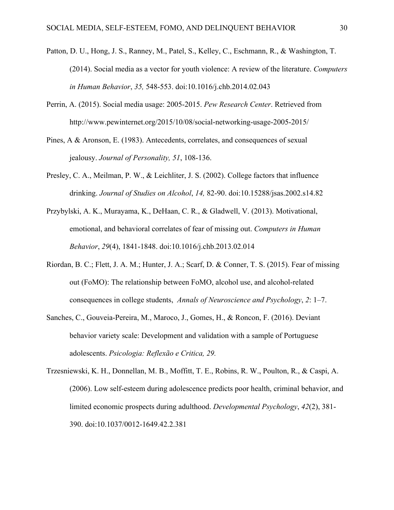- Patton, D. U., Hong, J. S., Ranney, M., Patel, S., Kelley, C., Eschmann, R., & Washington, T. (2014). Social media as a vector for youth violence: A review of the literature. *Computers in Human Behavior*, *35,* 548-553. doi:10.1016/j.chb.2014.02.043
- Perrin, A. (2015). Social media usage: 2005-2015. *Pew Research Center*. Retrieved from http://www.pewinternet.org/2015/10/08/social-networking-usage-2005-2015/
- Pines, A & Aronson, E. (1983). Antecedents, correlates, and consequences of sexual jealousy. *Journal of Personality, 51*, 108-136.
- Presley, C. A., Meilman, P. W., & Leichliter, J. S. (2002). College factors that influence drinking. *Journal of Studies on Alcohol*, *14,* 82-90. doi:10.15288/jsas.2002.s14.82
- Przybylski, A. K., Murayama, K., DeHaan, C. R., & Gladwell, V. (2013). Motivational, emotional, and behavioral correlates of fear of missing out. *Computers in Human Behavior*, *29*(4), 1841-1848. doi:10.1016/j.chb.2013.02.014
- Riordan, B. C.; Flett, J. A. M.; Hunter, J. A.; Scarf, D. & Conner, T. S. (2015). Fear of missing out (FoMO): The relationship between FoMO, alcohol use, and alcohol-related consequences in college students, *Annals of Neuroscience and Psychology*, *2*: 1–7.
- Sanches, C., Gouveia-Pereira, M., Maroco, J., Gomes, H., & Roncon, F. (2016). Deviant behavior variety scale: Development and validation with a sample of Portuguese adolescents. *Psicologia: Reflexão e Critica, 29.*
- Trzesniewski, K. H., Donnellan, M. B., Moffitt, T. E., Robins, R. W., Poulton, R., & Caspi, A. (2006). Low self-esteem during adolescence predicts poor health, criminal behavior, and limited economic prospects during adulthood. *Developmental Psychology*, *42*(2), 381- 390. doi:10.1037/0012-1649.42.2.381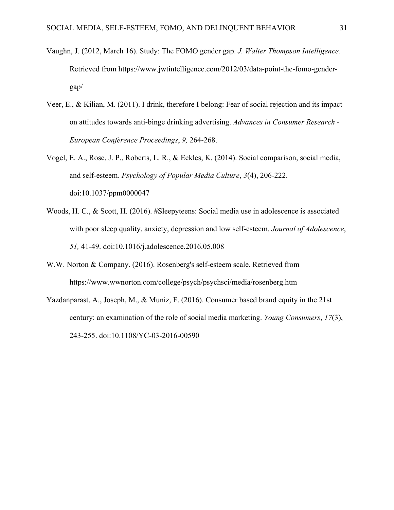- Vaughn, J. (2012, March 16). Study: The FOMO gender gap. *J. Walter Thompson Intelligence.* Retrieved from https://www.jwtintelligence.com/2012/03/data-point-the-fomo-gendergap/
- Veer, E., & Kilian, M. (2011). I drink, therefore I belong: Fear of social rejection and its impact on attitudes towards anti-binge drinking advertising. *Advances in Consumer Research - European Conference Proceedings*, *9,* 264-268.
- Vogel, E. A., Rose, J. P., Roberts, L. R., & Eckles, K. (2014). Social comparison, social media, and self-esteem. *Psychology of Popular Media Culture*, *3*(4), 206-222. doi:10.1037/ppm0000047
- Woods, H. C., & Scott, H. (2016). #Sleepyteens: Social media use in adolescence is associated with poor sleep quality, anxiety, depression and low self-esteem. *Journal of Adolescence*, *51,* 41-49. doi:10.1016/j.adolescence.2016.05.008
- W.W. Norton & Company. (2016). Rosenberg's self-esteem scale. Retrieved from https://www.wwnorton.com/college/psych/psychsci/media/rosenberg.htm
- Yazdanparast, A., Joseph, M., & Muniz, F. (2016). Consumer based brand equity in the 21st century: an examination of the role of social media marketing. *Young Consumers*, *17*(3), 243-255. doi:10.1108/YC-03-2016-00590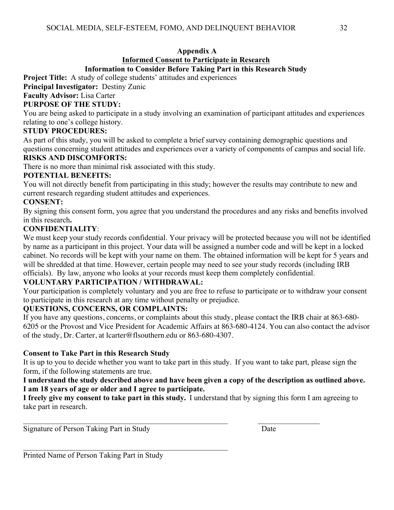#### **Appendix A Informed Consent to Participate in Research Information to Consider Before Taking Part in this Research Study**

**Project Title:** A study of college students' attitudes and experiences

**Principal Investigator:** Destiny Zunic

# **Faculty Advisor:** Lisa Carter

## **PURPOSE OF THE STUDY:**

You are being asked to participate in a study involving an examination of participant attitudes and experiences relating to one's college history.

#### **STUDY PROCEDURES:**

As part of this study, you will be asked to complete a brief survey containing demographic questions and questions concerning student attitudes and experiences over a variety of components of campus and social life.

#### **RISKS AND DISCOMFORTS:**

There is no more than minimal risk associated with this study.

#### **POTENTIAL BENEFITS:**

You will not directly benefit from participating in this study; however the results may contribute to new and current research regarding student attitudes and experiences.

## **CONSENT:**

By signing this consent form, you agree that you understand the procedures and any risks and benefits involved in this research**.**

## **CONFIDENTIALITY**:

We must keep your study records confidential. Your privacy will be protected because you will not be identified by name as a participant in this project. Your data will be assigned a number code and will be kept in a locked cabinet. No records will be kept with your name on them. The obtained information will be kept for 5 years and will be shredded at that time. However, certain people may need to see your study records (including IRB officials). By law, anyone who looks at your records must keep them completely confidential.

## **VOLUNTARY PARTICIPATION / WITHDRAWAL:**

Your participation is completely voluntary and you are free to refuse to participate or to withdraw your consent to participate in this research at any time without penalty or prejudice.

## **QUESTIONS, CONCERNS, OR COMPLAINTS:**

If you have any questions, concerns, or complaints about this study, please contact the IRB chair at 863-680- 6205 or the Provost and Vice President for Academic Affairs at 863-680-4124. You can also contact the advisor of the study, Dr. Carter, at lcarter@flsouthern.edu or 863-680-4307.

## **Consent to Take Part in this Research Study**

It is up to you to decide whether you want to take part in this study. If you want to take part, please sign the form, if the following statements are true.

#### **I understand the study described above and have been given a copy of the description as outlined above. I am 18 years of age or older and I agree to participate.**

**I freely give my consent to take part in this study.** I understand that by signing this form I am agreeing to take part in research.  

\_\_\_\_\_\_\_\_\_\_\_\_\_\_\_\_\_\_\_\_\_\_\_\_\_\_\_\_\_\_\_\_\_\_\_\_\_\_\_\_\_\_\_\_\_\_\_\_\_\_\_\_\_                 \_\_\_\_\_\_\_\_\_\_\_\_\_\_\_\_

Signature of Person Taking Part in Study<br>
<u>Date</u>

Printed Name of Person Taking Part in Study

 $\mathcal{L}_\mathcal{L}$  , and the contribution of the contribution of the contribution of the contribution of the contribution of the contribution of the contribution of the contribution of the contribution of the contribution of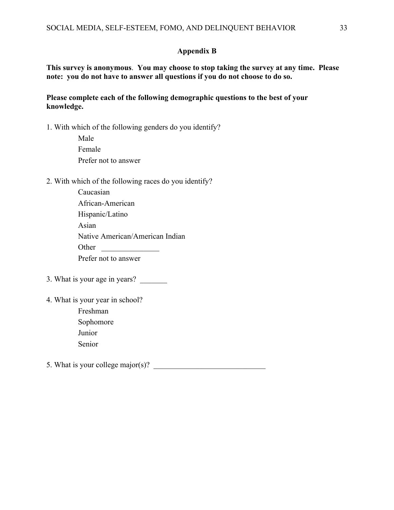#### **Appendix B**

**This survey is anonymous**. **You may choose to stop taking the survey at any time. Please note: you do not have to answer all questions if you do not choose to do so.**

#### **Please complete each of the following demographic questions to the best of your knowledge.**

1. With which of the following genders do you identify?

 Male Female Prefer not to answer

#### 2. With which of the following races do you identify?

| Caucasian                       |
|---------------------------------|
| African-American                |
| Hispanic/Latino                 |
| Asian                           |
| Native American/American Indian |
| Other                           |
| Prefer not to answer            |

- 3. What is your age in years? \_\_\_\_\_\_\_
- 4. What is your year in school?
	- Freshman Sophomore Junior Senior

5. What is your college major(s)?  $\qquad \qquad \qquad$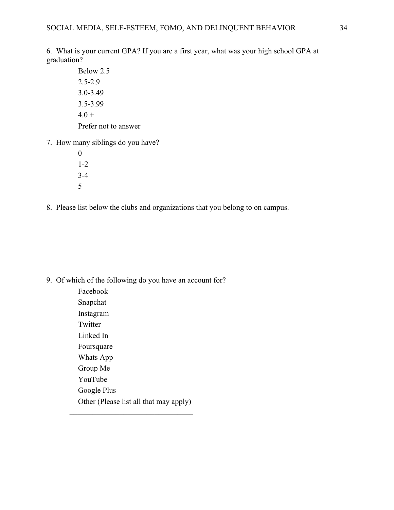6. What is your current GPA? If you are a first year, what was your high school GPA at graduation?

- Below 2.5 2.5-2.9 3.0-3.49 3.5-3.99  $4.0 +$ Prefer not to answer
- 7. How many siblings do you have?
	- 0 1-2 3-4  $5+$
- 8. Please list below the clubs and organizations that you belong to on campus.

9. Of which of the following do you have an account for?

 Facebook Snapchat Instagram Twitter Linked In Foursquare Whats App Group Me YouTube Google Plus Other (Please list all that may apply) \_\_\_\_\_\_\_\_\_\_\_\_\_\_\_\_\_\_\_\_\_\_\_\_\_\_\_\_\_\_\_\_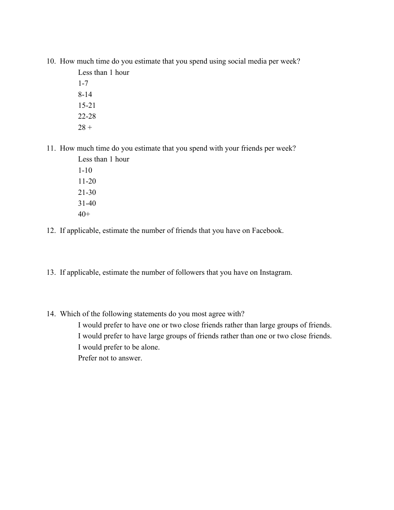10. How much time do you estimate that you spend using social media per week?

 Less than 1 hour 1-7 8-14 15-21 22-28  $28 +$ 

11. How much time do you estimate that you spend with your friends per week?

 Less than 1 hour 1-10 11-20 21-30 31-40  $40+$ 

12. If applicable, estimate the number of friends that you have on Facebook.

13. If applicable, estimate the number of followers that you have on Instagram.

14. Which of the following statements do you most agree with?

 I would prefer to have one or two close friends rather than large groups of friends. I would prefer to have large groups of friends rather than one or two close friends. I would prefer to be alone. Prefer not to answer.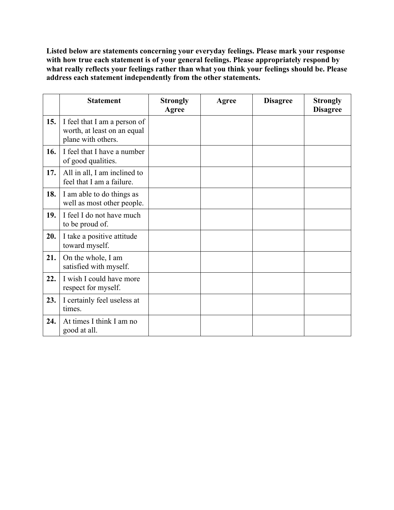**Listed below are statements concerning your everyday feelings. Please mark your response with how true each statement is of your general feelings. Please appropriately respond by what really reflects your feelings rather than what you think your feelings should be. Please address each statement independently from the other statements.** 

|     | <b>Statement</b>                                                                  | <b>Strongly</b><br>Agree | Agree | <b>Disagree</b> | <b>Strongly</b><br><b>Disagree</b> |
|-----|-----------------------------------------------------------------------------------|--------------------------|-------|-----------------|------------------------------------|
| 15. | I feel that I am a person of<br>worth, at least on an equal<br>plane with others. |                          |       |                 |                                    |
| 16. | I feel that I have a number<br>of good qualities.                                 |                          |       |                 |                                    |
| 17. | All in all, I am inclined to<br>feel that I am a failure.                         |                          |       |                 |                                    |
| 18. | I am able to do things as<br>well as most other people.                           |                          |       |                 |                                    |
| 19. | I feel I do not have much<br>to be proud of.                                      |                          |       |                 |                                    |
| 20. | I take a positive attitude<br>toward myself.                                      |                          |       |                 |                                    |
| 21. | On the whole, I am<br>satisfied with myself.                                      |                          |       |                 |                                    |
| 22. | I wish I could have more<br>respect for myself.                                   |                          |       |                 |                                    |
| 23. | I certainly feel useless at<br>times.                                             |                          |       |                 |                                    |
| 24. | At times I think I am no<br>good at all.                                          |                          |       |                 |                                    |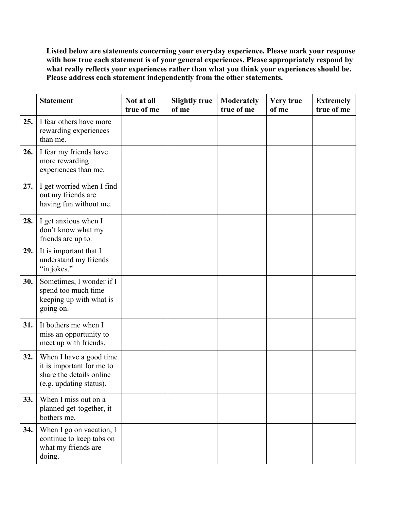**Listed below are statements concerning your everyday experience. Please mark your response**  with how true each statement is of your general experiences. Please appropriately respond by **what really reflects your experiences rather than what you think your experiences should be. Please address each statement independently from the other statements.** 

|     | <b>Statement</b>                                                                                            | Not at all<br>true of me | <b>Slightly true</b><br>of me | <b>Moderately</b><br>true of me | Very true<br>of me | <b>Extremely</b><br>true of me |
|-----|-------------------------------------------------------------------------------------------------------------|--------------------------|-------------------------------|---------------------------------|--------------------|--------------------------------|
| 25. | I fear others have more<br>rewarding experiences<br>than me.                                                |                          |                               |                                 |                    |                                |
| 26. | I fear my friends have<br>more rewarding<br>experiences than me.                                            |                          |                               |                                 |                    |                                |
| 27. | I get worried when I find<br>out my friends are<br>having fun without me.                                   |                          |                               |                                 |                    |                                |
| 28. | I get anxious when I<br>don't know what my<br>friends are up to.                                            |                          |                               |                                 |                    |                                |
| 29. | It is important that I<br>understand my friends<br>"in jokes."                                              |                          |                               |                                 |                    |                                |
| 30. | Sometimes, I wonder if I<br>spend too much time<br>keeping up with what is<br>going on.                     |                          |                               |                                 |                    |                                |
| 31. | It bothers me when I<br>miss an opportunity to<br>meet up with friends.                                     |                          |                               |                                 |                    |                                |
| 32. | When I have a good time<br>it is important for me to<br>share the details online<br>(e.g. updating status). |                          |                               |                                 |                    |                                |
| 33. | When I miss out on a<br>planned get-together, it<br>bothers me.                                             |                          |                               |                                 |                    |                                |
| 34. | When I go on vacation, I<br>continue to keep tabs on<br>what my friends are<br>doing.                       |                          |                               |                                 |                    |                                |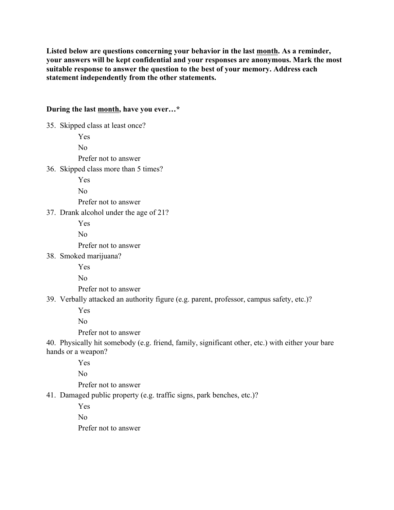**Listed below are questions concerning your behavior in the last month. As a reminder, your answers will be kept confidential and your responses are anonymous. Mark the most suitable response to answer the question to the best of your memory. Address each statement independently from the other statements.** 

#### **During the last month, have you ever…\***

35. Skipped class at least once? Yes No Prefer not to answer 36. Skipped class more than 5 times? Yes No Prefer not to answer 37. Drank alcohol under the age of 21? Yes No Prefer not to answer 38. Smoked marijuana? Yes No Prefer not to answer 39. Verbally attacked an authority figure (e.g. parent, professor, campus safety, etc.)? Yes No Prefer not to answer 40. Physically hit somebody (e.g. friend, family, significant other, etc.) with either your bare hands or a weapon? Yes No Prefer not to answer 41. Damaged public property (e.g. traffic signs, park benches, etc.)? Yes No

Prefer not to answer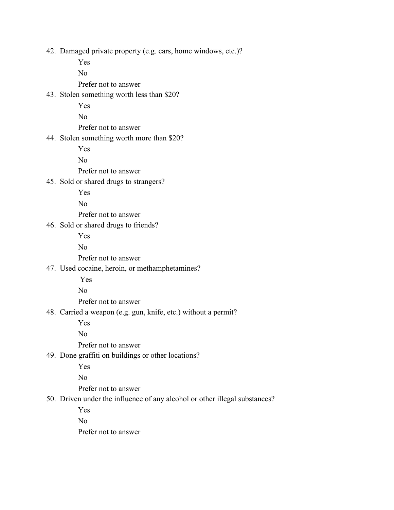42. Damaged private property (e.g. cars, home windows, etc.)?

Yes

No

Prefer not to answer

## 43. Stolen something worth less than \$20?

Yes

No

Prefer not to answer

## 44. Stolen something worth more than \$20?

Yes

No

Prefer not to answer

45. Sold or shared drugs to strangers?

Yes

No

Prefer not to answer

46. Sold or shared drugs to friends?

Yes

No

Prefer not to answer

# 47. Used cocaine, heroin, or methamphetamines?

Yes

No

Prefer not to answer

## 48. Carried a weapon (e.g. gun, knife, etc.) without a permit?

Yes

No

Prefer not to answer

## 49. Done graffiti on buildings or other locations?

Yes

No

Prefer not to answer

50. Driven under the influence of any alcohol or other illegal substances?

Yes

No

Prefer not to answer